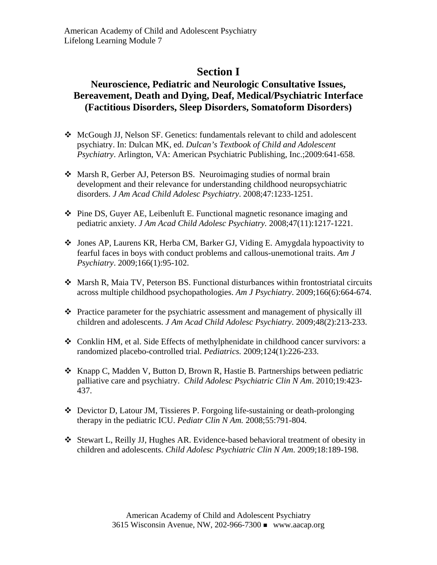## **Section I**

## **Neuroscience, Pediatric and Neurologic Consultative Issues, Bereavement, Death and Dying, Deaf, Medical/Psychiatric Interface (Factitious Disorders, Sleep Disorders, Somatoform Disorders)**

- McGough JJ, Nelson SF. Genetics: fundamentals relevant to child and adolescent psychiatry. In: Dulcan MK, ed. *Dulcan's Textbook of Child and Adolescent Psychiatry*. Arlington, VA: American Psychiatric Publishing, Inc.;2009:641-658.
- Marsh R, Gerber AJ, Peterson BS. Neuroimaging studies of normal brain development and their relevance for understanding childhood neuropsychiatric disorders. *J Am Acad Child Adolesc Psychiatry*. 2008;47:1233-1251.
- Pine DS, Guyer AE, Leibenluft E. Functional magnetic resonance imaging and pediatric anxiety. *J Am Acad Child Adolesc Psychiatry.* 2008;47(11):1217-1221.
- Jones AP, Laurens KR, Herba CM, Barker GJ, Viding E. Amygdala hypoactivity to fearful faces in boys with conduct problems and callous-unemotional traits. *Am J Psychiatry*. 2009;166(1):95-102.
- Marsh R, Maia TV, Peterson BS. Functional disturbances within frontostriatal circuits across multiple childhood psychopathologies. *Am J Psychiatry*. 2009;166(6):664-674.
- Practice parameter for the psychiatric assessment and management of physically ill children and adolescents. *J Am Acad Child Adolesc Psychiatry*. 2009;48(2):213-233.
- Conklin HM, et al. Side Effects of methylphenidate in childhood cancer survivors: a randomized placebo-controlled trial. *Pediatrics.* 2009;124(1):226-233.
- \* Knapp C, Madden V, Button D, Brown R, Hastie B. Partnerships between pediatric palliative care and psychiatry. *Child Adolesc Psychiatric Clin N Am*. 2010;19:423- 437.
- Devictor D, Latour JM, Tissieres P. Forgoing life-sustaining or death-prolonging therapy in the pediatric ICU. *Pediatr Clin N Am.* 2008;55:791-804.
- Stewart L, Reilly JJ, Hughes AR. Evidence-based behavioral treatment of obesity in children and adolescents. *Child Adolesc Psychiatric Clin N Am*. 2009;18:189-198.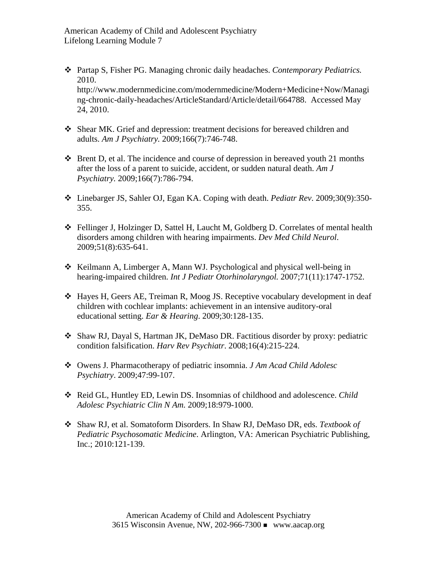- Partap S, Fisher PG. Managing chronic daily headaches. *Contemporary Pediatrics.* 2010. [http://www.modernmedicine.com/modernmedicine/Modern+Medicine+Now/Managi](http://www.modernmedicine.com/modernmedicine/Modern+Medicine+Now/Managing-chronic-daily-headaches/ArticleStandard/Article/detail/664788.%20%20Accessed%20May%2024) [ng-chronic-daily-headaches/ArticleStandard/Article/detail/664788. Accessed May](http://www.modernmedicine.com/modernmedicine/Modern+Medicine+Now/Managing-chronic-daily-headaches/ArticleStandard/Article/detail/664788.%20%20Accessed%20May%2024)  [24](http://www.modernmedicine.com/modernmedicine/Modern+Medicine+Now/Managing-chronic-daily-headaches/ArticleStandard/Article/detail/664788.%20%20Accessed%20May%2024), 2010.
- Shear MK. Grief and depression: treatment decisions for bereaved children and adults. *Am J Psychiatry.* 2009;166(7):746-748.
- $\triangle$  Brent D, et al. The incidence and course of depression in bereaved youth 21 months after the loss of a parent to suicide, accident, or sudden natural death. *Am J Psychiatry.* 2009;166(7):786-794.
- Linebarger JS, Sahler OJ, Egan KA. Coping with death. *Pediatr Rev*. 2009;30(9):350- 355.
- Fellinger J, Holzinger D, Sattel H, Laucht M, Goldberg D. Correlates of mental health disorders among children with hearing impairments. *Dev Med Child Neurol*. 2009;51(8):635-641.
- \* Keilmann A, Limberger A, Mann WJ. Psychological and physical well-being in hearing-impaired children. *Int J Pediatr Otorhinolaryngol.* 2007;71(11):1747-1752.
- Hayes H, Geers AE, Treiman R, Moog JS. Receptive vocabulary development in deaf children with cochlear implants: achievement in an intensive auditory-oral educational setting. *Ear & Hearing*. 2009;30:128-135.
- Shaw RJ, Dayal S, Hartman JK, DeMaso DR. Factitious disorder by proxy: pediatric condition falsification. *Harv Rev Psychiatr*. 2008;16(4):215-224.
- Owens J. Pharmacotherapy of pediatric insomnia. *J Am Acad Child Adolesc Psychiatry*. 2009;47:99-107.
- Reid GL, Huntley ED, Lewin DS. Insomnias of childhood and adolescence. *Child Adolesc Psychiatric Clin N Am.* 2009;18:979-1000.
- Shaw RJ, et al. Somatoform Disorders. In Shaw RJ, DeMaso DR, eds. *Textbook of Pediatric Psychosomatic Medicine*. Arlington, VA: American Psychiatric Publishing, Inc.; 2010:121-139.